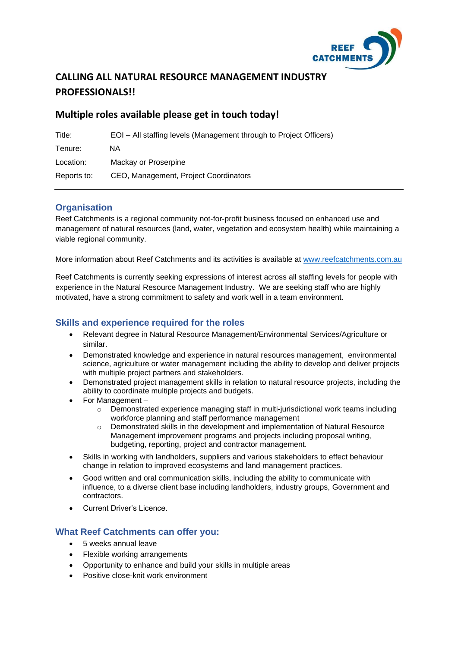

# **CALLING ALL NATURAL RESOURCE MANAGEMENT INDUSTRY PROFESSIONALS!!**

## **Multiple roles available please get in touch today!**

| Title:      | EOI – All staffing levels (Management through to Project Officers) |
|-------------|--------------------------------------------------------------------|
| Tenure:     | ΝA                                                                 |
| Location:   | Mackay or Proserpine                                               |
| Reports to: | CEO, Management, Project Coordinators                              |

## **Organisation**

Reef Catchments is a regional community not-for-profit business focused on enhanced use and management of natural resources (land, water, vegetation and ecosystem health) while maintaining a viable regional community.

More information about Reef Catchments and its activities is available at [www.reefcatchments.com.au](http://www.reefcatchments.com.au/)

Reef Catchments is currently seeking expressions of interest across all staffing levels for people with experience in the Natural Resource Management Industry. We are seeking staff who are highly motivated, have a strong commitment to safety and work well in a team environment.

### **Skills and experience required for the roles**

- Relevant degree in Natural Resource Management/Environmental Services/Agriculture or similar.
- Demonstrated knowledge and experience in natural resources management, environmental science, agriculture or water management including the ability to develop and deliver projects with multiple project partners and stakeholders.
- Demonstrated project management skills in relation to natural resource projects, including the ability to coordinate multiple projects and budgets.
- For Management
	- $\circ$  Demonstrated experience managing staff in multi-jurisdictional work teams including workforce planning and staff performance management
	- Demonstrated skills in the development and implementation of Natural Resource Management improvement programs and projects including proposal writing, budgeting, reporting, project and contractor management.
- Skills in working with landholders, suppliers and various stakeholders to effect behaviour change in relation to improved ecosystems and land management practices.
- Good written and oral communication skills, including the ability to communicate with influence, to a diverse client base including landholders, industry groups, Government and contractors.
- Current Driver's Licence.

### **What Reef Catchments can offer you:**

- 5 weeks annual leave
- Flexible working arrangements
- Opportunity to enhance and build your skills in multiple areas
- Positive close-knit work environment